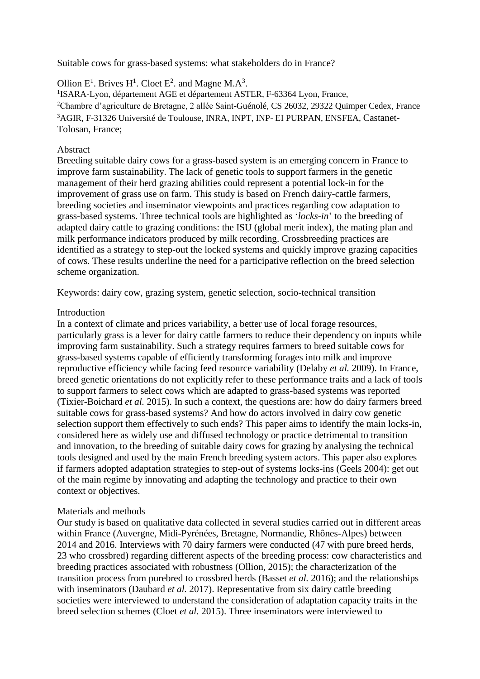Suitable cows for grass-based systems: what stakeholders do in France?

Ollion  $E^1$ . Brives  $H^1$ . Cloet  $E^2$ . and Magne M.A<sup>3</sup>.

<sup>1</sup>ISARA-Lyon, département AGE et département ASTER, F-63364 Lyon, France, <sup>2</sup>Chambre d'agriculture de Bretagne, 2 allée Saint-Guénolé, CS 26032, 29322 Quimper Cedex, France <sup>3</sup>AGIR, F-31326 Université de Toulouse, INRA, INPT, INP- EI PURPAN, ENSFEA, Castanet-Tolosan, France;

## Abstract

Breeding suitable dairy cows for a grass-based system is an emerging concern in France to improve farm sustainability. The lack of genetic tools to support farmers in the genetic management of their herd grazing abilities could represent a potential lock-in for the improvement of grass use on farm. This study is based on French dairy-cattle farmers, breeding societies and inseminator viewpoints and practices regarding cow adaptation to grass-based systems. Three technical tools are highlighted as '*locks-in*' to the breeding of adapted dairy cattle to grazing conditions: the ISU (global merit index), the mating plan and milk performance indicators produced by milk recording. Crossbreeding practices are identified as a strategy to step-out the locked systems and quickly improve grazing capacities of cows. These results underline the need for a participative reflection on the breed selection scheme organization.

Keywords: dairy cow, grazing system, genetic selection, socio-technical transition

### Introduction

In a context of climate and prices variability, a better use of local forage resources, particularly grass is a lever for dairy cattle farmers to reduce their dependency on inputs while improving farm sustainability. Such a strategy requires farmers to breed suitable cows for grass-based systems capable of efficiently transforming forages into milk and improve reproductive efficiency while facing feed resource variability (Delaby *et al.* 2009). In France, breed genetic orientations do not explicitly refer to these performance traits and a lack of tools to support farmers to select cows which are adapted to grass-based systems was reported (Tixier-Boichard *et al.* 2015). In such a context, the questions are: how do dairy farmers breed suitable cows for grass-based systems? And how do actors involved in dairy cow genetic selection support them effectively to such ends? This paper aims to identify the main locks-in, considered here as widely use and diffused technology or practice detrimental to transition and innovation, to the breeding of suitable dairy cows for grazing by analysing the technical tools designed and used by the main French breeding system actors. This paper also explores if farmers adopted adaptation strategies to step-out of systems locks-ins (Geels 2004): get out of the main regime by innovating and adapting the technology and practice to their own context or objectives.

# Materials and methods

Our study is based on qualitative data collected in several studies carried out in different areas within France (Auvergne, Midi-Pyrénées, Bretagne, Normandie, Rhônes-Alpes) between 2014 and 2016. Interviews with 70 dairy farmers were conducted (47 with pure breed herds, 23 who crossbred) regarding different aspects of the breeding process: cow characteristics and breeding practices associated with robustness (Ollion, 2015); the characterization of the transition process from purebred to crossbred herds (Basset *et al.* 2016); and the relationships with inseminators (Daubard *et al.* 2017). Representative from six dairy cattle breeding societies were interviewed to understand the consideration of adaptation capacity traits in the breed selection schemes (Cloet *et al.* 2015). Three inseminators were interviewed to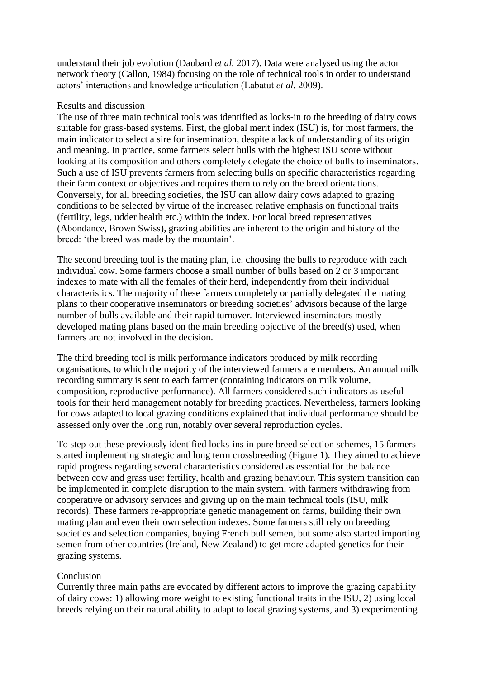understand their job evolution (Daubard *et al.* 2017). Data were analysed using the actor network theory (Callon, 1984) focusing on the role of technical tools in order to understand actors' interactions and knowledge articulation (Labatut *et al.* 2009).

### Results and discussion

The use of three main technical tools was identified as locks-in to the breeding of dairy cows suitable for grass-based systems. First, the global merit index (ISU) is, for most farmers, the main indicator to select a sire for insemination, despite a lack of understanding of its origin and meaning. In practice, some farmers select bulls with the highest ISU score without looking at its composition and others completely delegate the choice of bulls to inseminators. Such a use of ISU prevents farmers from selecting bulls on specific characteristics regarding their farm context or objectives and requires them to rely on the breed orientations. Conversely, for all breeding societies, the ISU can allow dairy cows adapted to grazing conditions to be selected by virtue of the increased relative emphasis on functional traits (fertility, legs, udder health etc.) within the index. For local breed representatives (Abondance, Brown Swiss), grazing abilities are inherent to the origin and history of the breed: 'the breed was made by the mountain'.

The second breeding tool is the mating plan, i.e. choosing the bulls to reproduce with each individual cow. Some farmers choose a small number of bulls based on 2 or 3 important indexes to mate with all the females of their herd, independently from their individual characteristics. The majority of these farmers completely or partially delegated the mating plans to their cooperative inseminators or breeding societies' advisors because of the large number of bulls available and their rapid turnover. Interviewed inseminators mostly developed mating plans based on the main breeding objective of the breed(s) used, when farmers are not involved in the decision.

The third breeding tool is milk performance indicators produced by milk recording organisations, to which the majority of the interviewed farmers are members. An annual milk recording summary is sent to each farmer (containing indicators on milk volume, composition, reproductive performance). All farmers considered such indicators as useful tools for their herd management notably for breeding practices. Nevertheless, farmers looking for cows adapted to local grazing conditions explained that individual performance should be assessed only over the long run, notably over several reproduction cycles.

To step-out these previously identified locks-ins in pure breed selection schemes, 15 farmers started implementing strategic and long term crossbreeding (Figure 1). They aimed to achieve rapid progress regarding several characteristics considered as essential for the balance between cow and grass use: fertility, health and grazing behaviour. This system transition can be implemented in complete disruption to the main system, with farmers withdrawing from cooperative or advisory services and giving up on the main technical tools (ISU, milk records). These farmers re-appropriate genetic management on farms, building their own mating plan and even their own selection indexes. Some farmers still rely on breeding societies and selection companies, buying French bull semen, but some also started importing semen from other countries (Ireland, New-Zealand) to get more adapted genetics for their grazing systems.

### Conclusion

Currently three main paths are evocated by different actors to improve the grazing capability of dairy cows: 1) allowing more weight to existing functional traits in the ISU, 2) using local breeds relying on their natural ability to adapt to local grazing systems, and 3) experimenting